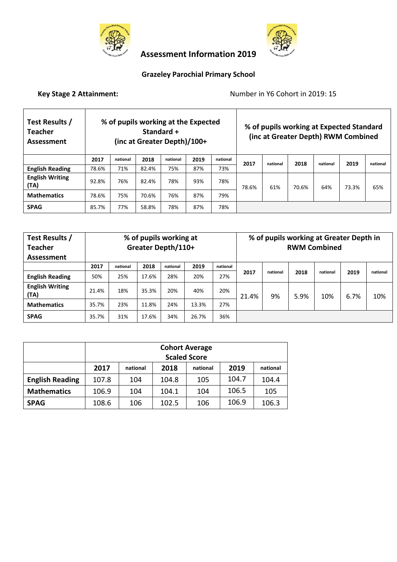



 **Assessment Information 2019** 

# **Grazeley Parochial Primary School**

# **Key Stage 2 Attainment:** Number in Y6 Cohort in 2019: 15

| Test Results /<br><b>Teacher</b><br>Assessment |       | % of pupils working at the Expected<br>Standard +<br>(inc at Greater Depth)/100+ |       |          |      |          |       |          | % of pupils working at Expected Standard<br>(inc at Greater Depth) RWM Combined |          |       |          |
|------------------------------------------------|-------|----------------------------------------------------------------------------------|-------|----------|------|----------|-------|----------|---------------------------------------------------------------------------------|----------|-------|----------|
|                                                | 2017  | national                                                                         | 2018  | national | 2019 | national | 2017  | national | 2018                                                                            | national | 2019  | national |
| <b>English Reading</b>                         | 78.6% | 71%                                                                              | 82.4% | 75%      | 87%  | 73%      |       |          |                                                                                 |          |       |          |
| <b>English Writing</b><br>(TA)                 | 92.8% | 76%                                                                              | 82.4% | 78%      | 93%  | 78%      | 78.6% | 61%      | 70.6%                                                                           | 64%      | 73.3% | 65%      |
| <b>Mathematics</b>                             | 78.6% | 75%                                                                              | 70.6% | 76%      | 87%  | 79%      |       |          |                                                                                 |          |       |          |
| <b>SPAG</b>                                    | 85.7% | 77%                                                                              | 58.8% | 78%      | 87%  | 78%      |       |          |                                                                                 |          |       |          |

| Test Results /<br><b>Teacher</b><br>Assessment | % of pupils working at<br>Greater Depth/110+ |          |       |          |       |          | <b>RWM Combined</b> |          | % of pupils working at Greater Depth in |          |      |          |
|------------------------------------------------|----------------------------------------------|----------|-------|----------|-------|----------|---------------------|----------|-----------------------------------------|----------|------|----------|
|                                                | 2017                                         | national | 2018  | national | 2019  | national | 2017                | national | 2018                                    | national | 2019 | national |
| <b>English Reading</b>                         | 50%                                          | 25%      | 17.6% | 28%      | 20%   | 27%      |                     |          |                                         |          |      |          |
| <b>English Writing</b><br>(TA)                 | 21.4%                                        | 18%      | 35.3% | 20%      | 40%   | 20%      | 21.4%               | 9%       | 5.9%                                    | 10%      | 6.7% | 10%      |
| <b>Mathematics</b>                             | 35.7%                                        | 23%      | 11.8% | 24%      | 13.3% | 27%      |                     |          |                                         |          |      |          |
| <b>SPAG</b>                                    | 35.7%                                        | 31%      | 17.6% | 34%      | 26.7% | 36%      |                     |          |                                         |          |      |          |

|                        |       | <b>Cohort Average</b>                            |       |     |       |       |  |  |  |  |  |  |
|------------------------|-------|--------------------------------------------------|-------|-----|-------|-------|--|--|--|--|--|--|
|                        |       | <b>Scaled Score</b>                              |       |     |       |       |  |  |  |  |  |  |
|                        | 2017  | 2019<br>2018<br>national<br>national<br>national |       |     |       |       |  |  |  |  |  |  |
| <b>English Reading</b> | 107.8 | 104                                              | 104.8 | 105 | 104.7 | 104.4 |  |  |  |  |  |  |
| <b>Mathematics</b>     | 106.9 | 104                                              | 104.1 | 104 | 106.5 | 105   |  |  |  |  |  |  |
| <b>SPAG</b>            | 108.6 | 106                                              | 102.5 | 106 | 106.9 | 106.3 |  |  |  |  |  |  |